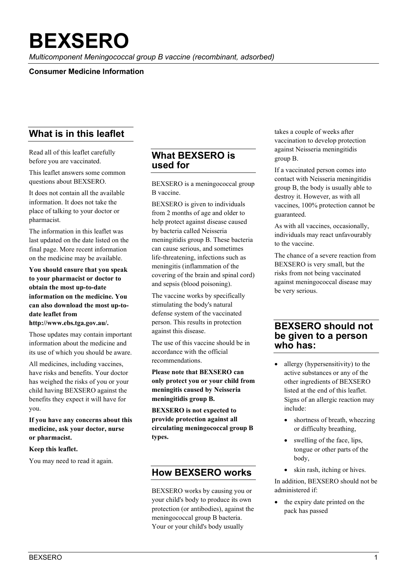# **BEXSERO**

*Multicomponent Meningococcal group B vaccine (recombinant, adsorbed)*

## **Consumer Medicine Information**

# **What is in this leaflet**

Read all of this leaflet carefully before you are vaccinated.

This leaflet answers some common questions about BEXSERO.

It does not contain all the available information. It does not take the place of talking to your doctor or pharmacist.

The information in this leaflet was last updated on the date listed on the final page. More recent information on the medicine may be available.

**You should ensure that you speak to your pharmacist or doctor to obtain the most up-to-date information on the medicine. You can also download the most up-todate leaflet from http://www.ebs.tga.gov.au/.**

Those updates may contain important information about the medicine and its use of which you should be aware.

All medicines, including vaccines, have risks and benefits. Your doctor has weighed the risks of you or your child having BEXSERO against the benefits they expect it will have for you.

### **If you have any concerns about this medicine, ask your doctor, nurse or pharmacist.**

#### **Keep this leaflet.**

You may need to read it again.

# **What BEXSERO is used for**

BEXSERO is a meningococcal group B vaccine.

BEXSERO is given to individuals from 2 months of age and older to help protect against disease caused by bacteria called Neisseria meningitidis group B. These bacteria can cause serious, and sometimes life-threatening, infections such as meningitis (inflammation of the covering of the brain and spinal cord) and sepsis (blood poisoning).

The vaccine works by specifically stimulating the body's natural defense system of the vaccinated person. This results in protection against this disease.

The use of this vaccine should be in accordance with the official recommendations.

**Please note that BEXSERO can only protect you or your child from meningitis caused by Neisseria meningitidis group B.**

**BEXSERO is not expected to provide protection against all circulating meningococcal group B types.** 

# **How BEXSERO works**

BEXSERO works by causing you or your child's body to produce its own protection (or antibodies), against the meningococcal group B bacteria. Your or your child's body usually

takes a couple of weeks after vaccination to develop protection against Neisseria meningitidis group B.

If a vaccinated person comes into contact with Neisseria meningitidis group B, the body is usually able to destroy it. However, as with all vaccines, 100% protection cannot be guaranteed.

As with all vaccines, occasionally, individuals may react unfavourably to the vaccine.

The chance of a severe reaction from BEXSERO is very small, but the risks from not being vaccinated against meningococcal disease may be very serious.

# **BEXSERO should not be given to a person who has:**

- allergy (hypersensitivity) to the active substances or any of the other ingredients of BEXSERO listed at the end of this leaflet. Signs of an allergic reaction may include:
	- shortness of breath, wheezing or difficulty breathing,
	- swelling of the face, lips, tongue or other parts of the body,
	- skin rash, itching or hives.

In addition, BEXSERO should not be administered if:

• the expiry date printed on the pack has passed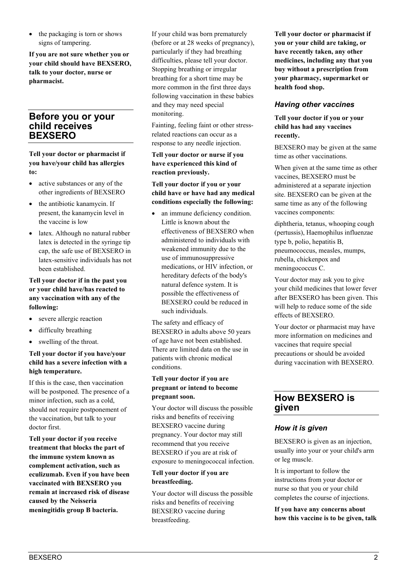• the packaging is torn or shows signs of tampering.

**If you are not sure whether you or your child should have BEXSERO, talk to your doctor, nurse or pharmacist.** 

# **Before you or your child receives BEXSERO**

**Tell your doctor or pharmacist if you have/your child has allergies to:**

- active substances or any of the other ingredients of BEXSERO
- the antibiotic kanamycin. If present, the kanamycin level in the vaccine is low
- latex. Although no natural rubber latex is detected in the syringe tip cap, the safe use of BEXSERO in latex-sensitive individuals has not been established.

## **Tell your doctor if in the past you or your child have/has reacted to any vaccination with any of the following:**

- severe allergic reaction
- difficulty breathing
- swelling of the throat.

#### **Tell your doctor if you have/your child has a severe infection with a high temperature.**

If this is the case, then vaccination will be postponed. The presence of a minor infection, such as a cold, should not require postponement of the vaccination, but talk to your doctor first.

**Tell your doctor if you receive treatment that blocks the part of the immune system known as complement activation, such as eculizumab. Even if you have been vaccinated with BEXSERO you remain at increased risk of disease caused by the Neisseria meningitidis group B bacteria.** 

If your child was born prematurely (before or at 28 weeks of pregnancy), particularly if they had breathing difficulties, please tell your doctor. Stopping breathing or irregular breathing for a short time may be more common in the first three days following vaccination in these babies and they may need special monitoring.

Fainting, feeling faint or other stressrelated reactions can occur as a response to any needle injection.

#### **Tell your doctor or nurse if you have experienced this kind of reaction previously.**

## **Tell your doctor if you or your child have or have had any medical conditions especially the following:**

• an immune deficiency condition. Little is known about the effectiveness of BEXSERO when administered to individuals with weakened immunity due to the use of immunosuppressive medications, or HIV infection, or hereditary defects of the body's natural defence system. It is possible the effectiveness of BEXSERO could be reduced in such individuals.

The safety and efficacy of BEXSERO in adults above 50 years of age have not been established. There are limited data on the use in patients with chronic medical conditions.

## **Tell your doctor if you are pregnant or intend to become pregnant soon.**

Your doctor will discuss the possible risks and benefits of receiving BEXSERO vaccine during pregnancy. Your doctor may still recommend that you receive BEXSERO if you are at risk of exposure to meningococcal infection.

## **Tell your doctor if you are breastfeeding.**

Your doctor will discuss the possible risks and benefits of receiving BEXSERO vaccine during breastfeeding.

**Tell your doctor or pharmacist if you or your child are taking, or have recently taken, any other medicines, including any that you buy without a prescription from your pharmacy, supermarket or health food shop.**

## *Having other vaccines*

**Tell your doctor if you or your child has had any vaccines recently.**

BEXSERO may be given at the same time as other vaccinations.

When given at the same time as other vaccines, BEXSERO must be administered at a separate injection site. BEXSERO can be given at the same time as any of the following vaccines components:

diphtheria, tetanus, whooping cough (pertussis), Haemophilus influenzae type b, polio, hepatitis B, pneumococcus, measles, mumps, rubella, chickenpox and meningococcus C.

Your doctor may ask you to give your child medicines that lower fever after BEXSERO has been given. This will help to reduce some of the side effects of BEXSERO.

Your doctor or pharmacist may have more information on medicines and vaccines that require special precautions or should be avoided during vaccination with BEXSERO.

# **How BEXSERO is given**

# *How it is given*

BEXSERO is given as an injection, usually into your or your child's arm or leg muscle.

It is important to follow the instructions from your doctor or nurse so that you or your child completes the course of injections.

**If you have any concerns about how this vaccine is to be given, talk**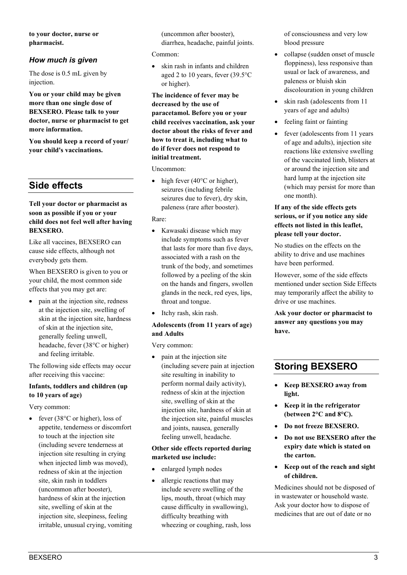**to your doctor, nurse or pharmacist.**

## *How much is given*

The dose is 0.5 mL given by injection.

**You or your child may be given more than one single dose of BEXSERO. Please talk to your doctor, nurse or pharmacist to get more information.**

**You should keep a record of your/ your child's vaccinations.**

# **Side effects**

#### **Tell your doctor or pharmacist as soon as possible if you or your child does not feel well after having BEXSERO.**

Like all vaccines, BEXSERO can cause side effects, although not everybody gets them.

When BEXSERO is given to you or your child, the most common side effects that you may get are:

• pain at the injection site, redness at the injection site, swelling of skin at the injection site, hardness of skin at the injection site, generally feeling unwell, headache, fever (38°C or higher) and feeling irritable.

The following side effects may occur after receiving this vaccine:

#### **Infants, toddlers and children (up to 10 years of age)**

Very common:

• fever (38°C or higher), loss of appetite, tenderness or discomfort to touch at the injection site (including severe tenderness at injection site resulting in crying when injected limb was moved), redness of skin at the injection site, skin rash in toddlers (uncommon after booster), hardness of skin at the injection site, swelling of skin at the injection site, sleepiness, feeling irritable, unusual crying, vomiting

(uncommon after booster), diarrhea, headache, painful joints.

Common:

• skin rash in infants and children aged 2 to 10 years, fever (39.5°C or higher).

**The incidence of fever may be decreased by the use of paracetamol. Before you or your child receives vaccination, ask your doctor about the risks of fever and how to treat it, including what to do if fever does not respond to initial treatment.**

Uncommon:

• high fever (40 $\degree$ C or higher), seizures (including febrile seizures due to fever), dry skin, paleness (rare after booster).

#### Rare:

- Kawasaki disease which may include symptoms such as fever that lasts for more than five days, associated with a rash on the trunk of the body, and sometimes followed by a peeling of the skin on the hands and fingers, swollen glands in the neck, red eyes, lips, throat and tongue.
- Itchy rash, skin rash.

#### **Adolescents (from 11 years of age) and Adults**

Very common:

• pain at the injection site (including severe pain at injection site resulting in inability to perform normal daily activity), redness of skin at the injection site, swelling of skin at the injection site, hardness of skin at the injection site, painful muscles and joints, nausea, generally feeling unwell, headache.

## **Other side effects reported during marketed use include:**

- enlarged lymph nodes
- allergic reactions that may include severe swelling of the lips, mouth, throat (which may cause difficulty in swallowing), difficulty breathing with wheezing or coughing, rash, loss

of consciousness and very low blood pressure

- collapse (sudden onset of muscle floppiness), less responsive than usual or lack of awareness, and paleness or bluish skin discolouration in young children
- skin rash (adolescents from 11 years of age and adults)
- feeling faint or fainting
- fever (adolescents from 11 years of age and adults), injection site reactions like extensive swelling of the vaccinated limb, blisters at or around the injection site and hard lump at the injection site (which may persist for more than one month).

#### **If any of the side effects gets serious, or if you notice any side effects not listed in this leaflet, please tell your doctor.**

No studies on the effects on the ability to drive and use machines have been performed.

However, some of the side effects mentioned under section Side Effects may temporarily affect the ability to drive or use machines.

**Ask your doctor or pharmacist to answer any questions you may have.**

# **Storing BEXSERO**

- **Keep BEXSERO away from light.**
- **Keep it in the refrigerator (between 2°C and 8°C).**
- **Do not freeze BEXSERO.**
- **Do not use BEXSERO after the expiry date which is stated on the carton.**
- **Keep out of the reach and sight of children.**

Medicines should not be disposed of in wastewater or household waste. Ask your doctor how to dispose of medicines that are out of date or no